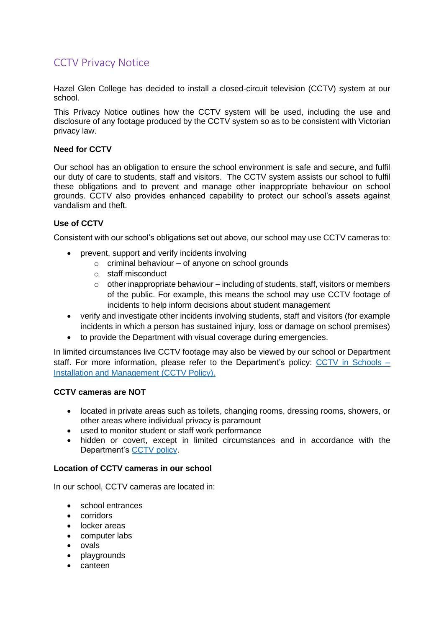# CCTV Privacy Notice

Hazel Glen College has decided to install a closed-circuit television (CCTV) system at our school.

This Privacy Notice outlines how the CCTV system will be used, including the use and disclosure of any footage produced by the CCTV system so as to be consistent with Victorian privacy law.

## **Need for CCTV**

Our school has an obligation to ensure the school environment is safe and secure, and fulfil our duty of care to students, staff and visitors. The CCTV system assists our school to fulfil these obligations and to prevent and manage other inappropriate behaviour on school grounds. CCTV also provides enhanced capability to protect our school's assets against vandalism and theft.

# **Use of CCTV**

Consistent with our school's obligations set out above, our school may use CCTV cameras to:

- prevent, support and verify incidents involving
	- $\circ$  criminal behaviour of anyone on school grounds
	- o staff misconduct
	- $\circ$  other inappropriate behaviour including of students, staff, visitors or members of the public. For example, this means the school may use CCTV footage of incidents to help inform decisions about student management
- verify and investigate other incidents involving students, staff and visitors (for example incidents in which a person has sustained injury, loss or damage on school premises)
- to provide the Department with visual coverage during emergencies.

In limited circumstances live CCTV footage may also be viewed by our school or Department staff. For more information, please refer to the Department's policy: CCTV in Schools -[Installation and Management](https://www2.education.vic.gov.au/pal/cctv-in-schools/policy) (CCTV Policy).

### **CCTV cameras are NOT**

- located in private areas such as toilets, changing rooms, dressing rooms, showers, or other areas where individual privacy is paramount
- used to monitor student or staff work performance
- hidden or covert, except in limited circumstances and in accordance with the Department's [CCTV policy.](https://www2.education.vic.gov.au/pal/cctv-in-schools/policy)

### **Location of CCTV cameras in our school**

In our school, CCTV cameras are located in:

- school entrances
- corridors
- locker areas
- computer labs
- ovals
- playgrounds
- canteen